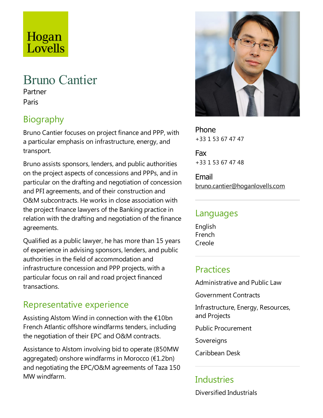# Lovells

Hogan

# Bruno Cantier

Partner Paris

# Biography

Bruno Cantier focuses on project finance and PPP, with a particular emphasis on infrastructure, energy, and transport.

Bruno assists sponsors, lenders, and public authorities on the project aspects of concessions and PPPs, and in particular on the drafting and negotiation of concession and PFI agreements, and of their construction and O&M subcontracts. He works in close association with the project finance lawyers of the Banking practice in relation with the drafting and negotiation of the finance agreements.

Qualified as a public lawyer, he has more than 15 years of experience in advising sponsors, lenders, and public authorities in the field of accommodation and infrastructure concession and PPP projects, with a particular focus on rail and road project financed transactions.

# Representative experience

Assisting Alstom Wind in connection with the €10bn French Atlantic offshore windfarms tenders, including the negotiation of their EPC and O&M contracts.

Assistance to Alstom involving bid to operate (850MW aggregated) onshore windfarms in Morocco (€1.2bn) and negotiating the EPC/O&M agreements of Taza 150 MW windfarm.



Phone +33 1 53 67 47 47

Fax +33 1 53 67 47 48

Email bruno.cantier@hoganlovells.com

#### Languages

English French Creole

#### Practices

Administrative and Public Law

Government Contracts

Infrastructure, Energy, Resources, and Projects

Public Procurement

**Sovereigns** 

Caribbean Desk

## **Industries**

Diversified Industrials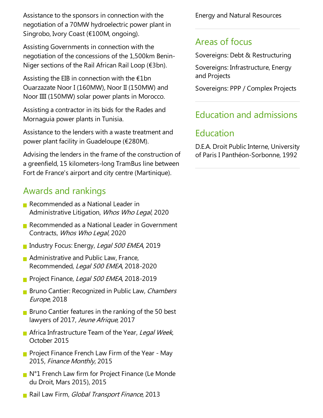Assistance to the sponsors in connection with the negotiation of a 70MW hydroelectric power plant in Singrobo, Ivory Coast (€100M, ongoing).

Assisting Governments in connection with the negotiation of the concessions of the 1,500km Benin-Niger sections of the Rail African Rail Loop (€3bn).

Assisting the EIB in connection with the  $E1$ bn Ouarzazate Noor I (160MW), Noor II (150MW) and Noor IIII (150MW) solar power plants in Morocco.

Assisting acontractor in its bids for the Rades and Mornaguia power plants in Tunisia.

Assistance to the lenders with a waste treatment and power plant facility in Guadeloupe (€280M).

Advising the lenders in the frame of the construction of a greenfield, 15 kilometers-long TramBus line between Fort de France's airport and city centre (Martinique).

### Awards and rankings

- Recommended as a National Leader in Administrative Litigation, Whos Who Legal, 2020
- Recommended as a National Leader in Government Contracts, Whos Who Legal, 2020
- Industry Focus: Energy, Legal 500 EMEA, 2019
- $\blacksquare$  Administrative and Public Law, France, Recommended, Legal 500 EMEA, 2018-2020
- Project Finance, Legal 500 EMEA, 2018-2019
- **Bruno Cantier: Recognized in Public Law, Chambers** Europe, 2018
- **Bruno Cantier features in the ranking of the 50 best** lawyers of 2017, Jeune Afrique, 2017
- Africa Infrastructure Team of the Year, Legal Week, October 2015
- **Project Finance French Law Firm of the Year May** 2015, Finance Monthly, 2015
- $\blacksquare$  N°1 French Law firm for Project Finance (Le Monde du Droit, Mars 2015), 2015
- Rail Law Firm, Global Transport Finance, 2013

Energy and Natural Resources

#### Areas of focus

Sovereigns: Debt & Restructuring

Sovereigns: Infrastructure, Energy and Projects

Sovereigns: PPP / Complex Projects

#### Education and admissions

#### **Education**

D.E.A. Droit Public Interne, University of Paris I Panthéon-Sorbonne, 1992